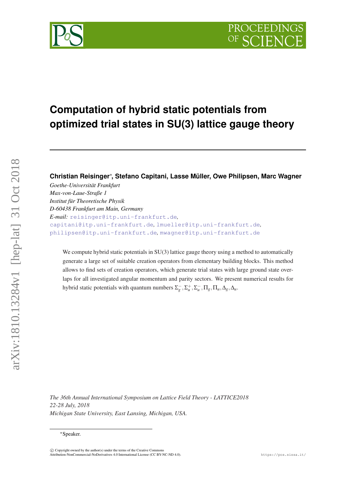

# **Computation of hybrid static potentials from optimized trial states in SU(3) lattice gauge theory**

**Christian Reisinger**∗ **, Stefano Capitani, Lasse Müller, Owe Philipsen, Marc Wagner**

*Goethe-Universität Frankfurt Max-von-Laue-Straße 1 Institut für Theoretische Physik D-60438 Frankfurt am Main, Germany E-mail:* [reisinger@itp.uni-frankfurt.de](mailto:reisinger@itp.uni-frankfurt.de)*,* [capitani@itp.uni-frankfurt.de](mailto:capitani@itp.uni-frankfurt.de)*,* [lmueller@itp.uni-frankfurt.de](mailto:lmueller@itp.uni-frankfurt.de)*,* [philipsen@itp.uni-frankfurt.de](mailto:philipsen@itp.uni-frankfurt.de)*,* [mwagner@itp.uni-frankfurt.de](mailto:mwagner@itp.uni-frankfurt.de)

We compute hybrid static potentials in SU(3) lattice gauge theory using a method to automatically generate a large set of suitable creation operators from elementary building blocks. This method allows to find sets of creation operators, which generate trial states with large ground state overlaps for all investigated angular momentum and parity sectors. We present numerical results for hybrid static potentials with quantum numbers  $\Sigma_g^-$ ,  $\Sigma_u^+$ ,  $\Sigma_u^-$ ,  $\Pi_g$ ,  $\Pi_u$ ,  $\Delta_g$ ,  $\Delta_u$ .

*The 36th Annual International Symposium on Lattice Field Theory - LATTICE2018 22-28 July, 2018 Michigan State University, East Lansing, Michigan, USA.*

<sup>∗</sup>Speaker.

 $\overline{c}$  Copyright owned by the author(s) under the terms of the Creative Commons Attribution-NonCommercial-NoDerivatives 4.0 International License (CC BY-NC-ND 4.0). https://pos.sissa.it/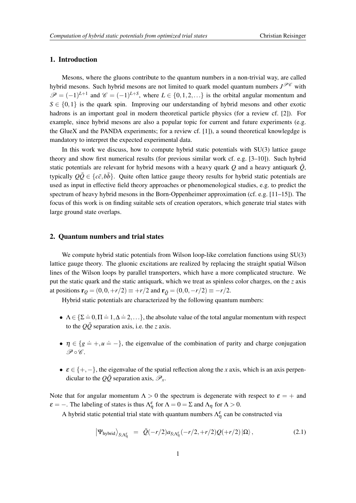## <span id="page-1-0"></span>1. Introduction

Mesons, where the gluons contribute to the quantum numbers in a non-trivial way, are called hybrid mesons. Such hybrid mesons are not limited to quark model quantum numbers  $J^{\mathcal{P}\mathcal{C}}$  with  $\mathscr{P} = (-1)^{L+1}$  and  $\mathscr{C} = (-1)^{L+S}$ , where  $L \in \{0, 1, 2, ...\}$  is the orbital angular momentum and  $S \in \{0,1\}$  is the quark spin. Improving our understanding of hybrid mesons and other exotic hadrons is an important goal in modern theoretical particle physics (for a review cf. [2]). For example, since hybrid mesons are also a popular topic for current and future experiments (e.g. the GlueX and the PANDA experiments; for a review cf. [1]), a sound theoretical knowlegdge is mandatory to interpret the expected experimental data.

In this work we discuss, how to compute hybrid static potentials with SU(3) lattice gauge theory and show first numerical results (for previous similar work cf. e.g. [3–10]). Such hybrid static potentials are relevant for hybrid mesons with a heavy quark *Q* and a heavy antiquark  $\overline{O}$ , typically  $Q\bar{Q} \in \{c\bar{c}, b\bar{b}\}$ . Quite often lattice gauge theory results for hybrid static potentials are used as input in effective field theory approaches or phenomenological studies, e.g. to predict the spectrum of heavy hybrid mesons in the Born-Oppenheimer approximation (cf. e.g. [11–15]). The focus of this work is on finding suitable sets of creation operators, which generate trial states with large ground state overlaps.

#### 2. Quantum numbers and trial states

We compute hybrid static potentials from Wilson loop-like correlation functions using SU(3) lattice gauge theory. The gluonic excitations are realized by replacing the straight spatial Wilson lines of the Wilson loops by parallel transporters, which have a more complicated structure. We put the static quark and the static antiquark, which we treat as spinless color charges, on the *z* axis at positions  $\mathbf{r}_0 = (0, 0, +r/2) \equiv +r/2$  and  $\mathbf{r}_{\bar{0}} = (0, 0, -r/2) \equiv -r/2$ .

Hybrid static potentials are characterized by the following quantum numbers:

- $\Lambda \in \{\Sigma = 0, \Pi = 1, \Delta = 2, \dots\}$ , the absolute value of the total angular momentum with respect to the  $Q\overline{Q}$  separation axis, i.e. the *z* axis.
- $\eta \in \{g \doteq +, u \doteq -\}$ , the eigenvalue of the combination of parity and charge conjugation  $P \circ C$ .
- ε ∈ {+,−}, the eigenvalue of the spatial reflection along the *x* axis, which is an axis perpendicular to the  $Q\bar{Q}$  separation axis,  $\mathscr{P}_x$ .

Note that for angular momentum  $\Lambda > 0$  the spectrum is degenerate with respect to  $\varepsilon = +$  and  $\varepsilon = -$ . The labeling of states is thus  $\Lambda_{\eta}^{\varepsilon}$  for  $\Lambda = 0 = \Sigma$  and  $\Lambda_{\eta}$  for  $\Lambda > 0$ .

A hybrid static potential trial state with quantum numbers  $\Lambda_{\eta}^{\varepsilon}$  can be constructed via

$$
\left|\Psi_{\text{hybrid}}\right\rangle_{S;\Lambda^{\varepsilon}_{\eta}}\ =\ \bar{Q}(-r/2)a_{S;\Lambda^{\varepsilon}_{\eta}}(-r/2,+r/2)Q(+r/2)\left|\Omega\right\rangle,\tag{2.1}
$$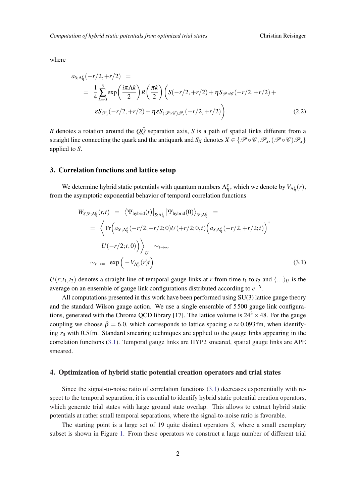where

$$
a_{S;\Lambda_{\eta}^{\epsilon}}(-r/2, +r/2) =
$$
  
=  $\frac{1}{4} \sum_{k=0}^{3} \exp\left(\frac{i\pi \Lambda k}{2}\right) R\left(\frac{\pi k}{2}\right) \left(S(-r/2, +r/2) + \eta S \mathcal{P}_{\infty}(-r/2, +r/2) +$   
 $\epsilon S \mathcal{P}_{\infty}(-r/2, +r/2) + \eta \epsilon S(\mathcal{P}_{\infty}(\mathcal{P}) \mathcal{P}_{\infty}(-r/2, +r/2)\right).$  (2.2)

*R* denotes a rotation around the  $Q\bar{Q}$  separation axis, *S* is a path of spatial links different from a straight line connecting the quark and the antiquark and *S<sub>X</sub>* denotes  $X \in \{P \circ \mathcal{C}, \mathcal{P}_x, (\mathcal{P} \circ \mathcal{C})\mathcal{P}_x\}$ applied to *S*.

### 3. Correlation functions and lattice setup

We determine hybrid static potentials with quantum numbers  $\Lambda_{\eta}^{\varepsilon}$ , which we denote by  $V_{\Lambda_{\eta}^{\varepsilon}}(r)$ , from the asymptotic exponential behavior of temporal correlation functions

$$
W_{S,S';\Lambda_{\eta}^{\epsilon}}(r,t) = \langle \Psi_{\text{hybrid}}(t) \big|_{S;\Lambda_{\eta}^{\epsilon}} \, | \Psi_{\text{hybrid}}(0) \rangle_{S';\Lambda_{\eta}^{\epsilon}} =
$$
  
\n
$$
= \langle \text{Tr} \Big( a_{S';\Lambda_{\eta}^{\epsilon}}(-r/2, +r/2;0) U(+r/2;0,t) \Big( a_{S;\Lambda_{\eta}^{\epsilon}}(-r/2, +r/2;t) \Big)^{\dagger}
$$
  
\n
$$
U(-r/2; t, 0) \Big) \rangle_{U} \sim_{t \to \infty}
$$
  
\n
$$
\sim_{t \to \infty} \exp \Big( -V_{\Lambda_{\eta}^{\epsilon}}(r)t \Big).
$$
 (3.1)

 $U(r; t_1, t_2)$  denotes a straight line of temporal gauge links at *r* from time  $t_1$  to  $t_2$  and  $\langle \ldots \rangle_U$  is the average on an ensemble of gauge link configurations distributed according to *e* −*S* .

All computations presented in this work have been performed using SU(3) lattice gauge theory and the standard Wilson gauge action. We use a single ensemble of 5 500 gauge link configurations, generated with the Chroma QCD library [17]. The lattice volume is  $24^3 \times 48$ . For the gauge coupling we choose  $\beta = 6.0$ , which corresponds to lattice spacing  $a \approx 0.093$  fm, when identifying *r*<sup>0</sup> with 0.5 fm. Standard smearing techniques are applied to the gauge links appearing in the correlation functions (3.1). Temporal gauge links are HYP2 smeared, spatial gauge links are APE smeared.

#### 4. Optimization of hybrid static potential creation operators and trial states

Since the signal-to-noise ratio of correlation functions (3.1) decreases exponentially with respect to the temporal separation, it is essential to identify hybrid static potential creation operators, which generate trial states with large ground state overlap. This allows to extract hybrid static potentials at rather small temporal separations, where the signal-to-noise ratio is favorable.

The starting point is a large set of 19 quite distinct operators *S*, where a small exemplary subset is shown in Figure [1.](#page-3-0) From these operators we construct a large number of different trial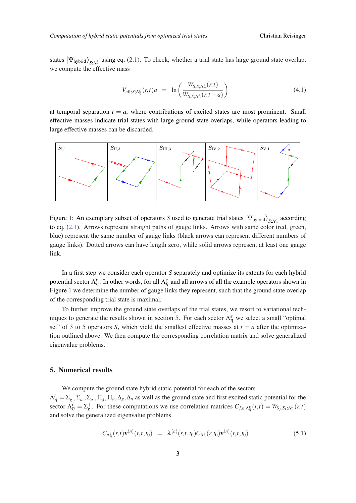<span id="page-3-0"></span>states  $|\Psi_{\text{hybrid}}\rangle_{S;\Lambda_{\eta}^{\epsilon}}$  using eq. [\(2.1\)](#page-1-0). To check, whether a trial state has large ground state overlap, we compute the effective mass

$$
V_{\text{eff};S;\Lambda_{\eta}^{\varepsilon}}(r,t)a = \ln\left(\frac{W_{S,S;\Lambda_{\eta}^{\varepsilon}}(r,t)}{W_{S,S;\Lambda_{\eta}^{\varepsilon}}(r,t+a)}\right)
$$
(4.1)

at temporal separation  $t = a$ , where contributions of excited states are most prominent. Small effective masses indicate trial states with large ground state overlaps, while operators leading to large effective masses can be discarded.



Figure 1: An exemplary subset of operators S used to generate trial states  $|\Psi_{\text{hybrid}}\rangle_{S; \Lambda^{\varepsilon}_{\eta}}$  according to eq. ([2.1\)](#page-1-0). Arrows represent straight paths of gauge links. Arrows with same color (red, green, blue) represent the same number of gauge links (black arrows can represent different numbers of gauge links). Dotted arrows can have length zero, while solid arrows represent at least one gauge link.

In a first step we consider each operator *S* separately and optimize its extents for each hybrid potential sector  $\Lambda_\eta^\varepsilon$ . In other words, for all  $\Lambda_\eta^\varepsilon$  and all arrows of all the example operators shown in Figure 1 we determine the number of gauge links they represent, such that the ground state overlap of the corresponding trial state is maximal.

To further improve the ground state overlaps of the trial states, we resort to variational techniques to generate the results shown in section 5. For each sector  $\Lambda_{\eta}^{\varepsilon}$  we select a small "optimal" set" of 3 to 5 operators *S*, which yield the smallest effective masses at  $t = a$  after the optimization outlined above. We then compute the corresponding correlation matrix and solve generalized eigenvalue problems.

#### 5. Numerical results

We compute the ground state hybrid static potential for each of the sectors  $\Lambda_{\eta}^{\varepsilon} = \Sigma_{g}^{-}$ ,  $\Sigma_{u}^{+}$ ,  $\Sigma_{u}^{-}$ ,  $\Pi_{g}$ ,  $\Pi_{u}$ ,  $\Delta_{g}$ ,  $\Delta_{u}$  as well as the ground state and first excited static potential for the sector  $\Lambda_{\eta}^{\varepsilon} = \Sigma_{g}^{+}$ . For these computations we use correlation matrices  $C_{j,k;\Lambda_{\eta}^{\varepsilon}}(r,t) = W_{S_j,S_k;\Lambda_{\eta}^{\varepsilon}}(r,t)$ and solve the generalized eigenvalue problems

$$
C_{\Lambda_{\eta}^{\epsilon}}(r,t)\mathbf{v}^{(n)}(r,t,t_0) = \lambda^{(n)}(r,t,t_0)C_{\Lambda_{\eta}^{\epsilon}}(r,t_0)\mathbf{v}^{(n)}(r,t,t_0)
$$
\n(5.1)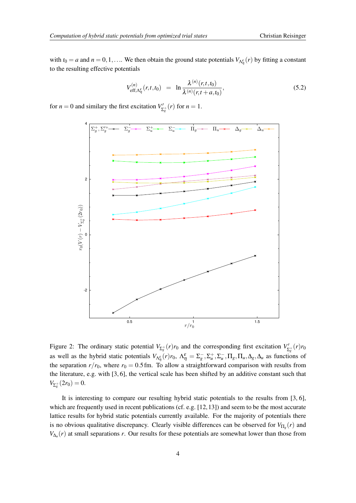with  $t_0 = a$  and  $n = 0, 1, \ldots$  We then obtain the ground state potentials  $V_{\Lambda^{\varepsilon}_{\eta}}(r)$  by fitting a constant to the resulting effective potentials

$$
V_{\text{eff};\Lambda_{\eta}^{\epsilon}}^{(n)}(r,t,t_0) = \ln \frac{\lambda^{(n)}(r,t,t_0)}{\lambda^{(n)}(r,t+a,t_0)},
$$
\n(5.2)

for  $n = 0$  and similary the first excitation  $V'_{\Sigma_g^+}(r)$  for  $n = 1$ .



Figure 2: The ordinary static potential  $V_{\Sigma_g^+}(r)r_0$  and the corresponding first excitation  $V'_{\Sigma_g^+}(r)r_0$ as well as the hybrid static potentials  $V_{\Lambda_{\eta}^{\epsilon}}(r)r_0$ ,  $\Lambda_{\eta}^{\epsilon} = \Sigma_g^-, \Sigma_u^+, \Sigma_u^-, \Pi_g, \Pi_u, \Delta_g, \Delta_u$  as functions of the separation  $r/r_0$ , where  $r_0 = 0.5$  fm. To allow a straightforward comparison with results from the literature, e.g. with [3, 6], the vertical scale has been shifted by an additive constant such that  $V_{\Sigma_{g}^{+}}(2r_{0})=0.$ 

It is interesting to compare our resulting hybrid static potentials to the results from [3, 6], which are frequently used in recent publications (cf. e.g.  $[12,13]$ ) and seem to be the most accurate lattice results for hybrid static potentials currently available. For the majority of potentials there is no obvious qualitative discrepancy. Clearly visible differences can be observed for *V*Π*<sup>g</sup>* (*r*) and  $V_{\Delta_u}(r)$  at small separations *r*. Our results for these potentials are somewhat lower than those from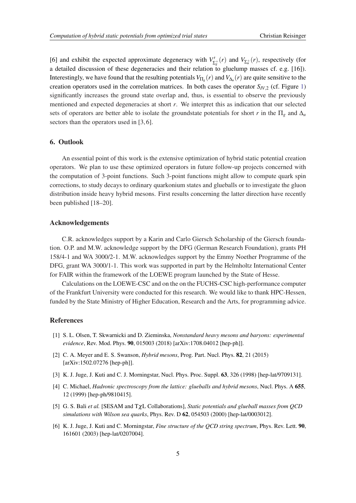[6] and exhibit the expected approximate degeneracy with  $V'_{\Sigma_g^+}(r)$  and  $V_{\Sigma_u^+}(r)$ , respectively (for a detailed discussion of these degeneracies and their relation to gluelump masses cf. e.g. [16]). Interestingly, we have found that the resulting potentials  $V_{\Pi_g}(r)$  and  $V_{\Delta_u}(r)$  are quite sensitive to the creation operators used in the correlation matrices. In both cases the operator  $S_{IV,2}$  (cf. Figure [1](#page-3-0)) significantly increases the ground state overlap and, thus, is essential to observe the previously mentioned and expected degeneracies at short *r*. We interpret this as indication that our selected sets of operators are better able to isolate the groundstate potentials for short *r* in the  $\Pi_g$  and  $\Delta_u$ sectors than the operators used in [3, 6].

## 6. Outlook

An essential point of this work is the extensive optimization of hybrid static potential creation operators. We plan to use these optimized operators in future follow-up projects concerned with the computation of 3-point functions. Such 3-point functions might allow to compute quark spin corrections, to study decays to ordinary quarkonium states and glueballs or to investigate the gluon distribution inside heavy hybrid mesons. First results concerning the latter direction have recently been published [18–20].

#### Acknowledgements

C.R. acknowledges support by a Karin and Carlo Giersch Scholarship of the Giersch foundation. O.P. and M.W. acknowledge support by the DFG (German Research Foundation), grants PH 158/4-1 and WA 3000/2-1. M.W. acknowledges support by the Emmy Noether Programme of the DFG, grant WA 3000/1-1. This work was supported in part by the Helmholtz International Center for FAIR within the framework of the LOEWE program launched by the State of Hesse.

Calculations on the LOEWE-CSC and on the on the FUCHS-CSC high-performance computer of the Frankfurt University were conducted for this research. We would like to thank HPC-Hessen, funded by the State Ministry of Higher Education, Research and the Arts, for programming advice.

#### References

- [1] S. L. Olsen, T. Skwarnicki and D. Zieminska, *Nonstandard heavy mesons and baryons: experimental evidence*, Rev. Mod. Phys. 90, 015003 (2018) [arXiv:1708.04012 [hep-ph]].
- [2] C. A. Meyer and E. S. Swanson, *Hybrid mesons*, Prog. Part. Nucl. Phys. 82, 21 (2015) [arXiv:1502.07276 [hep-ph]].
- [3] K. J. Juge, J. Kuti and C. J. Morningstar, Nucl. Phys. Proc. Suppl. 63, 326 (1998) [hep-lat/9709131].
- [4] C. Michael, *Hadronic spectroscopy from the lattice: glueballs and hybrid mesons*, Nucl. Phys. A 655, 12 (1999) [hep-ph/9810415].
- [5] G. S. Bali *et al.* [SESAM and TχL Collaborations], *Static potentials and glueball masses from QCD simulations with Wilson sea quarks*, Phys. Rev. D 62, 054503 (2000) [hep-lat/0003012].
- [6] K. J. Juge, J. Kuti and C. Morningstar, *Fine structure of the QCD string spectrum*, Phys. Rev. Lett. 90, 161601 (2003) [hep-lat/0207004].